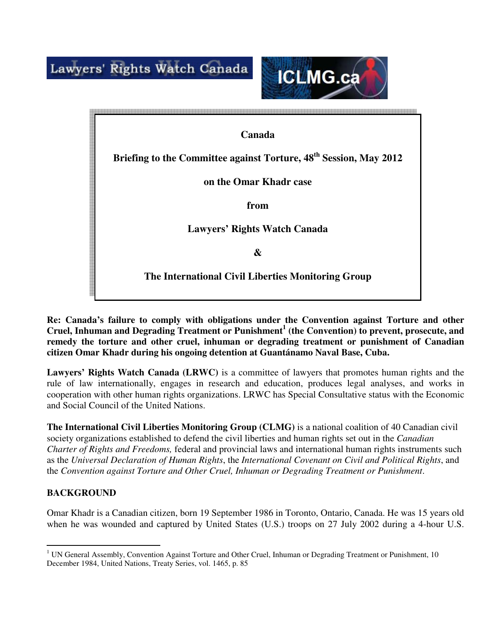Lawyers' Rights Watch Canada



**Canada Briefing to the Committee against Torture, 48th Session, May 2012 on the Omar Khadr case from Lawyers' Rights Watch Canada & The International Civil Liberties Monitoring Group** 

**Re: Canada's failure to comply with obligations under the Convention against Torture and other Cruel, Inhuman and Degrading Treatment or Punishment 1 (the Convention) to prevent, prosecute, and remedy the torture and other cruel, inhuman or degrading treatment or punishment of Canadian citizen Omar Khadr during his ongoing detention at Guantánamo Naval Base, Cuba.** 

Lawyers' Rights Watch Canada (LRWC) is a committee of lawyers that promotes human rights and the rule of law internationally, engages in research and education, produces legal analyses, and works in cooperation with other human rights organizations. LRWC has Special Consultative status with the Economic and Social Council of the United Nations.

**The International Civil Liberties Monitoring Group (CLMG)** is a national coalition of 40 Canadian civil society organizations established to defend the civil liberties and human rights set out in the *Canadian Charter of Rights and Freedoms,* federal and provincial laws and international human rights instruments such as the *Universal Declaration of Human Rights*, the *International Covenant on Civil and Political Rights*, and the *Convention against Torture and Other Cruel, Inhuman or Degrading Treatment or Punishment*.

# **BACKGROUND**

Omar Khadr is a Canadian citizen, born 19 September 1986 in Toronto, Ontario, Canada. He was 15 years old when he was wounded and captured by United States (U.S.) troops on 27 July 2002 during a 4-hour U.S.

 $\overline{a}$ <sup>1</sup> UN General Assembly, Convention Against Torture and Other Cruel, Inhuman or Degrading Treatment or Punishment, 10 December 1984, United Nations, Treaty Series, vol. 1465, p. 85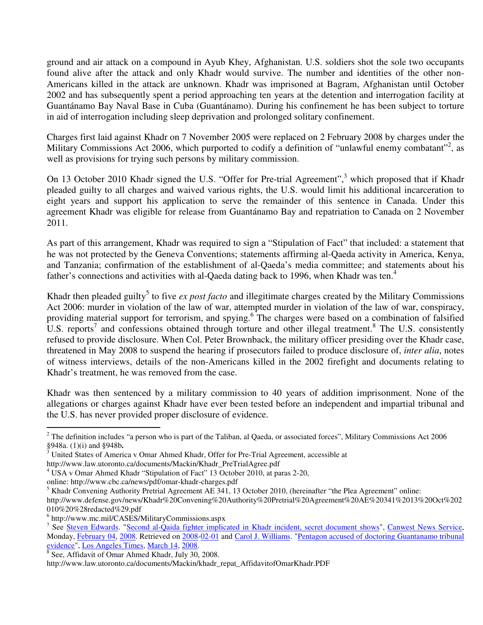ground and air attack on a compound in Ayub Khey, Afghanistan. U.S. soldiers shot the sole two occupants found alive after the attack and only Khadr would survive. The number and identities of the other non-Americans killed in the attack are unknown. Khadr was imprisoned at Bagram, Afghanistan until October 2002 and has subsequently spent a period approaching ten years at the detention and interrogation facility at Guantánamo Bay Naval Base in Cuba (Guantánamo). During his confinement he has been subject to torture in aid of interrogation including sleep deprivation and prolonged solitary confinement.

Charges first laid against Khadr on 7 November 2005 were replaced on 2 February 2008 by charges under the Military Commissions Act 2006, which purported to codify a definition of "unlawful enemy combatant"<sup>2</sup>, as well as provisions for trying such persons by military commission.

On 13 October 2010 Khadr signed the U.S. "Offer for Pre-trial Agreement",<sup>3</sup> which proposed that if Khadr pleaded guilty to all charges and waived various rights, the U.S. would limit his additional incarceration to eight years and support his application to serve the remainder of this sentence in Canada. Under this agreement Khadr was eligible for release from Guantánamo Bay and repatriation to Canada on 2 November 2011.

As part of this arrangement, Khadr was required to sign a "Stipulation of Fact" that included: a statement that he was not protected by the Geneva Conventions; statements affirming al-Qaeda activity in America, Kenya, and Tanzania; confirmation of the establishment of al-Qaeda's media committee; and statements about his father's connections and activities with al-Qaeda dating back to 1996, when Khadr was ten.<sup>4</sup>

Khadr then pleaded guilty<sup>5</sup> to five *ex post facto* and illegitimate charges created by the Military Commissions Act 2006: murder in violation of the law of war, attempted murder in violation of the law of war, conspiracy, providing material support for terrorism, and spying. <sup>6</sup> The charges were based on a combination of falsified U.S. reports<sup>7</sup> and confessions obtained through torture and other illegal treatment.<sup>8</sup> The U.S. consistently refused to provide disclosure. When Col. Peter Brownback, the military officer presiding over the Khadr case, threatened in May 2008 to suspend the hearing if prosecutors failed to produce disclosure of, *inter alia*, notes of witness interviews, details of the non-Americans killed in the 2002 firefight and documents relating to Khadr's treatment, he was removed from the case.

Khadr was then sentenced by a military commission to 40 years of addition imprisonment. None of the allegations or charges against Khadr have ever been tested before an independent and impartial tribunal and the U.S. has never provided proper disclosure of evidence.

 $\overline{a}$ 

 $2^2$  The definition includes "a person who is part of the Taliban, al Qaeda, or associated forces", Military Commissions Act 2006 §948a. (1)(i) and §948b**.**

<sup>&</sup>lt;sup>3</sup> United States of America v Omar Ahmed Khadr, Offer for Pre-Trial Agreement, accessible at

http://www.law.utoronto.ca/documents/Mackin/Khadr\_PreTrialAgree.pdf

<sup>&</sup>lt;sup>4</sup> USA v Omar Ahmed Khadr "Stipulation of Fact" 13 October 2010, at paras 2-20,

online: http://www.cbc.ca/news/pdf/omar-khadr-charges.pdf

<sup>&</sup>lt;sup>5</sup> Khadr Convening Authority Pretrial Agreement AE 341, 13 October 2010, (hereinafter "the Plea Agreement" online:

http://www.defense.gov/news/Khadr%20Convening%20Authority%20Pretrial%20Agreement%20AE%20341%2013%20Oct%202 010%20%28redacted%29.pdf

<sup>6</sup> http://www.mc.mil/CASES/MilitaryCommissions.aspx

<sup>&</sup>lt;sup>7</sup> See Steven Edwards. "Second al-Qaida fighter implicated in Khadr incident, secret document shows", Canwest News Service, Monday, February 04, 2008. Retrieved on 2008-02-01 and Carol J. Williams. "Pentagon accused of doctoring Guantanamo tribunal

evidence", Los Angeles Times, March 14, 2008.<br><sup>8</sup> See, Affidavit of Omar Ahmed Khadr, July 30, 2008.

http://www.law.utoronto.ca/documents/Mackin/khadr\_repat\_AffidavitofOmarKhadr.PDF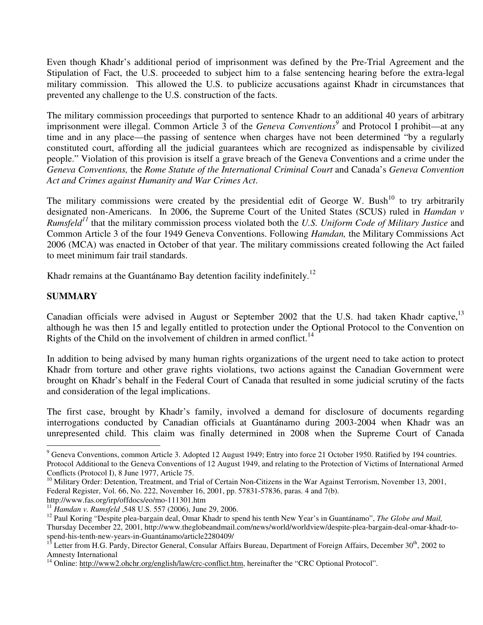Even though Khadr's additional period of imprisonment was defined by the Pre-Trial Agreement and the Stipulation of Fact, the U.S. proceeded to subject him to a false sentencing hearing before the extra-legal military commission. This allowed the U.S. to publicize accusations against Khadr in circumstances that prevented any challenge to the U.S. construction of the facts.

The military commission proceedings that purported to sentence Khadr to an additional 40 years of arbitrary imprisonment were illegal. Common Article 3 of the *Geneva Conventions<sup>9</sup>* and Protocol I prohibit—at any time and in any place—the passing of sentence when charges have not been determined "by a regularly constituted court, affording all the judicial guarantees which are recognized as indispensable by civilized people." Violation of this provision is itself a grave breach of the Geneva Conventions and a crime under the *Geneva Conventions,* the *Rome Statute of the International Criminal Court* and Canada's *Geneva Convention Act and Crimes against Humanity and War Crimes Act*.

The military commissions were created by the presidential edit of George W. Bush<sup>10</sup> to try arbitrarily designated non-Americans. In 2006, the Supreme Court of the United States (SCUS) ruled in *Hamdan v Rumsfeld<sup>11</sup>* that the military commission process violated both the *U.S. Uniform Code of Military Justice* and Common Article 3 of the four 1949 Geneva Conventions. Following *Hamdan,* the Military Commissions Act 2006 (MCA) was enacted in October of that year. The military commissions created following the Act failed to meet minimum fair trail standards.

Khadr remains at the Guantánamo Bay detention facility indefinitely.<sup>12</sup>

## **SUMMARY**

Canadian officials were advised in August or September 2002 that the U.S. had taken Khadr captive, <sup>13</sup> although he was then 15 and legally entitled to protection under the Optional Protocol to the Convention on Rights of the Child on the involvement of children in armed conflict.<sup>14</sup>

In addition to being advised by many human rights organizations of the urgent need to take action to protect Khadr from torture and other grave rights violations, two actions against the Canadian Government were brought on Khadr's behalf in the Federal Court of Canada that resulted in some judicial scrutiny of the facts and consideration of the legal implications.

The first case, brought by Khadr's family, involved a demand for disclosure of documents regarding interrogations conducted by Canadian officials at Guantánamo during 2003-2004 when Khadr was an unrepresented child. This claim was finally determined in 2008 when the Supreme Court of Canada

http://www.fas.org/irp/offdocs/eo/mo-111301.htm

<sup>&</sup>lt;sup>9</sup> Geneva Conventions, common Article 3. Adopted 12 August 1949; Entry into force 21 October 1950. Ratified by 194 countries. Protocol Additional to the Geneva Conventions of 12 August 1949, and relating to the Protection of Victims of International Armed Conflicts (Protocol I), 8 June 1977, Article 75.

<sup>&</sup>lt;sup>10</sup> Military Order: Detention, Treatment, and Trial of Certain Non-Citizens in the War Against Terrorism, November 13, 2001, Federal Register, Vol. 66, No. 222, November 16, 2001, pp. 57831-57836, paras. 4 and 7(b).

<sup>11</sup> *Hamdan v. Rumsfeld* ,548 U.S. 557 (2006), June 29, 2006.

<sup>12</sup> Paul Koring "Despite plea-bargain deal, Omar Khadr to spend his tenth New Year's in Guantánamo", *The Globe and Mail,* Thursday December 22, 2001, http://www.theglobeandmail.com/news/world/worldview/despite-plea-bargain-deal-omar-khadr-tospend-his-tenth-new-years-in-Guantánamo/article2280409/

<sup>&</sup>lt;sup>13</sup> Letter from H.G. Pardy, Director General, Consular Affairs Bureau, Department of Foreign Affairs, December 30<sup>th</sup>, 2002 to Amnesty International

<sup>&</sup>lt;sup>14</sup> Online: http://www2.ohchr.org/english/law/crc-conflict.htm, hereinafter the "CRC Optional Protocol".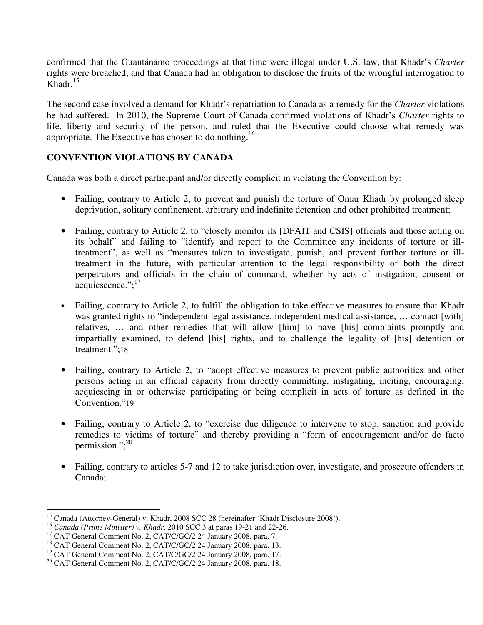confirmed that the Guantánamo proceedings at that time were illegal under U.S. law, that Khadr's *Charter* rights were breached, and that Canada had an obligation to disclose the fruits of the wrongful interrogation to Khadr.<sup>15</sup>

The second case involved a demand for Khadr's repatriation to Canada as a remedy for the *Charter* violations he had suffered. In 2010, the Supreme Court of Canada confirmed violations of Khadr's *Charter* rights to life, liberty and security of the person, and ruled that the Executive could choose what remedy was appropriate. The Executive has chosen to do nothing.<sup>16</sup>

# **CONVENTION VIOLATIONS BY CANADA**

Canada was both a direct participant and/or directly complicit in violating the Convention by:

- Failing, contrary to Article 2, to prevent and punish the torture of Omar Khadr by prolonged sleep deprivation, solitary confinement, arbitrary and indefinite detention and other prohibited treatment;
- Failing, contrary to Article 2, to "closely monitor its [DFAIT and CSIS] officials and those acting on its behalf" and failing to "identify and report to the Committee any incidents of torture or illtreatment", as well as "measures taken to investigate, punish, and prevent further torture or illtreatment in the future, with particular attention to the legal responsibility of both the direct perpetrators and officials in the chain of command, whether by acts of instigation, consent or acquiescence."; $^{17}$
- Failing, contrary to Article 2, to fulfill the obligation to take effective measures to ensure that Khadr was granted rights to "independent legal assistance, independent medical assistance, ... contact [with] relatives, … and other remedies that will allow [him] to have [his] complaints promptly and impartially examined, to defend [his] rights, and to challenge the legality of [his] detention or treatment.";18
- Failing, contrary to Article 2, to "adopt effective measures to prevent public authorities and other persons acting in an official capacity from directly committing, instigating, inciting, encouraging, acquiescing in or otherwise participating or being complicit in acts of torture as defined in the Convention."19
- Failing, contrary to Article 2, to "exercise due diligence to intervene to stop, sanction and provide remedies to victims of torture" and thereby providing a "form of encouragement and/or de facto permission."; $^{20}$
- Failing, contrary to articles 5-7 and 12 to take jurisdiction over, investigate, and prosecute offenders in Canada;

 $\overline{a}$ <sup>15</sup> Canada (Attorney-General) v. Khadr, 2008 SCC 28 (hereinafter 'Khadr Disclosure 2008').

<sup>16</sup> *Canada (Prime Minister) v. Khadr*, 2010 SCC 3 at paras 19-21 and 22-26.

<sup>&</sup>lt;sup>17</sup> CAT General Comment No. 2, CAT/C/GC/2 24 January 2008, para. 7.

<sup>&</sup>lt;sup>18</sup> CAT General Comment No. 2, CAT/C/GC/2 24 January 2008, para. 13.

<sup>&</sup>lt;sup>19</sup> CAT General Comment No. 2, CAT/C/GC/2 24 January 2008, para. 17.

 $^{20}$  CAT General Comment No. 2, CAT/C/GC/2 24 January 2008, para. 18.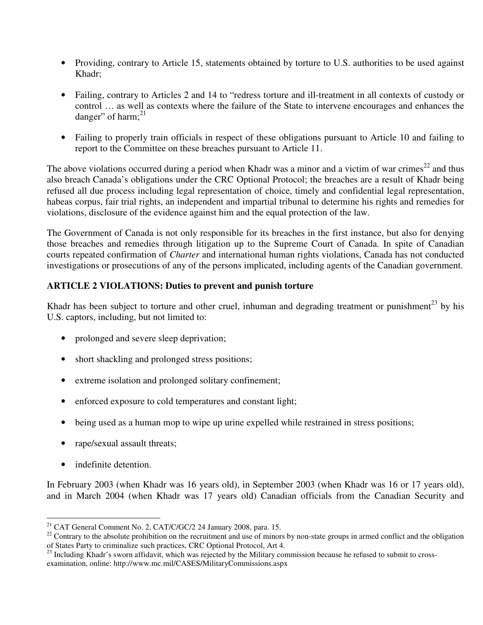- Providing, contrary to Article 15, statements obtained by torture to U.S. authorities to be used against Khadr;
- Failing, contrary to Articles 2 and 14 to "redress torture and ill-treatment in all contexts of custody or control … as well as contexts where the failure of the State to intervene encourages and enhances the danger" of harm; $^{21}$
- Failing to properly train officials in respect of these obligations pursuant to Article 10 and failing to report to the Committee on these breaches pursuant to Article 11.

The above violations occurred during a period when Khadr was a minor and a victim of war crimes<sup>22</sup> and thus also breach Canada's obligations under the CRC Optional Protocol; the breaches are a result of Khadr being refused all due process including legal representation of choice, timely and confidential legal representation, habeas corpus, fair trial rights, an independent and impartial tribunal to determine his rights and remedies for violations, disclosure of the evidence against him and the equal protection of the law.

The Government of Canada is not only responsible for its breaches in the first instance, but also for denying those breaches and remedies through litigation up to the Supreme Court of Canada. In spite of Canadian courts repeated confirmation of *Charter* and international human rights violations, Canada has not conducted investigations or prosecutions of any of the persons implicated, including agents of the Canadian government.

## **ARTICLE 2 VIOLATIONS: Duties to prevent and punish torture**

Khadr has been subject to torture and other cruel, inhuman and degrading treatment or punishment<sup>23</sup> by his U.S. captors, including, but not limited to:

- prolonged and severe sleep deprivation;
- short shackling and prolonged stress positions;
- extreme isolation and prolonged solitary confinement;
- enforced exposure to cold temperatures and constant light;
- being used as a human mop to wipe up urine expelled while restrained in stress positions;
- rape/sexual assault threats;
- indefinite detention.

 $\overline{a}$ 

In February 2003 (when Khadr was 16 years old), in September 2003 (when Khadr was 16 or 17 years old), and in March 2004 (when Khadr was 17 years old) Canadian officials from the Canadian Security and

 $21$  CAT General Comment No. 2, CAT/C/GC/2 24 January 2008, para. 15.

 $22$  Contrary to the absolute prohibition on the recruitment and use of minors by non-state groups in armed conflict and the obligation of States Party to criminalize such practices, CRC Optional Protocol, Art 4.

 $^{23}$  Including Khadr's sworn affidavit, which was rejected by the Military commission because he refused to submit to crossexamination, online: http://www.mc.mil/CASES/MilitaryCommissions.aspx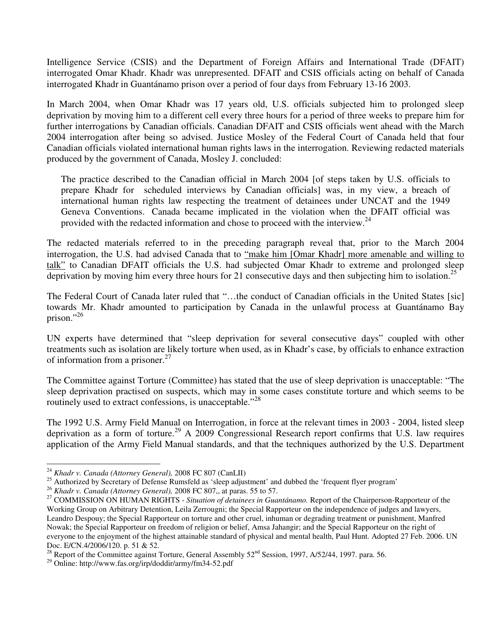Intelligence Service (CSIS) and the Department of Foreign Affairs and International Trade (DFAIT) interrogated Omar Khadr. Khadr was unrepresented. DFAIT and CSIS officials acting on behalf of Canada interrogated Khadr in Guantánamo prison over a period of four days from February 13-16 2003.

In March 2004, when Omar Khadr was 17 years old, U.S. officials subjected him to prolonged sleep deprivation by moving him to a different cell every three hours for a period of three weeks to prepare him for further interrogations by Canadian officials. Canadian DFAIT and CSIS officials went ahead with the March 2004 interrogation after being so advised. Justice Mosley of the Federal Court of Canada held that four Canadian officials violated international human rights laws in the interrogation. Reviewing redacted materials produced by the government of Canada, Mosley J. concluded:

The practice described to the Canadian official in March 2004 [of steps taken by U.S. officials to prepare Khadr for scheduled interviews by Canadian officials] was, in my view, a breach of international human rights law respecting the treatment of detainees under UNCAT and the 1949 Geneva Conventions. Canada became implicated in the violation when the DFAIT official was provided with the redacted information and chose to proceed with the interview.<sup>24</sup>

The redacted materials referred to in the preceding paragraph reveal that, prior to the March 2004 interrogation, the U.S. had advised Canada that to "make him [Omar Khadr] more amenable and willing to talk" to Canadian DFAIT officials the U.S. had subjected Omar Khadr to extreme and prolonged sleep deprivation by moving him every three hours for 21 consecutive days and then subjecting him to isolation.<sup>25</sup>

The Federal Court of Canada later ruled that "…the conduct of Canadian officials in the United States [sic] towards Mr. Khadr amounted to participation by Canada in the unlawful process at Guantánamo Bay prison."<sup>26</sup>

UN experts have determined that "sleep deprivation for several consecutive days" coupled with other treatments such as isolation are likely torture when used, as in Khadr's case, by officials to enhance extraction of information from a prisoner.<sup>27</sup>

The Committee against Torture (Committee) has stated that the use of sleep deprivation is unacceptable: "The sleep deprivation practised on suspects, which may in some cases constitute torture and which seems to be routinely used to extract confessions, is unacceptable."<sup>28</sup>

The 1992 U.S. Army Field Manual on Interrogation, in force at the relevant times in 2003 - 2004, listed sleep deprivation as a form of torture.<sup>29</sup> A 2009 Congressional Research report confirms that U.S. law requires application of the Army Field Manual standards, and that the techniques authorized by the U.S. Department

 $\overline{a}$ 

<sup>24</sup> *Khadr v. Canada (Attorney General),* 2008 FC 807 (CanLII)

 $^{25}$  Authorized by Secretary of Defense Rumsfeld as 'sleep adjustment' and dubbed the 'frequent flyer program'

<sup>26</sup> *Khadr v. Canada (Attorney General),* 2008 FC 807,, at paras. 55 to 57.

<sup>27</sup> COMMISSION ON HUMAN RIGHTS - *Situation of detainees in Guantánamo.* Report of the Chairperson-Rapporteur of the Working Group on Arbitrary Detention, Leila Zerrougni; the Special Rapporteur on the independence of judges and lawyers, Leandro Despouy; the Special Rapporteur on torture and other cruel, inhuman or degrading treatment or punishment, Manfred Nowak; the Special Rapporteur on freedom of religion or belief, Amsa Jahangir; and the Special Rapporteur on the right of everyone to the enjoyment of the highest attainable standard of physical and mental health, Paul Hunt. Adopted 27 Feb. 2006. UN Doc. E/CN.4/2006/120. p. 51 & 52.

<sup>28</sup> Report of the Committee against Torture, General Assembly  $52<sup>nd</sup>$  Session, 1997, A/52/44, 1997. para. 56.

<sup>29</sup> Online: http://www.fas.org/irp/doddir/army/fm34-52.pdf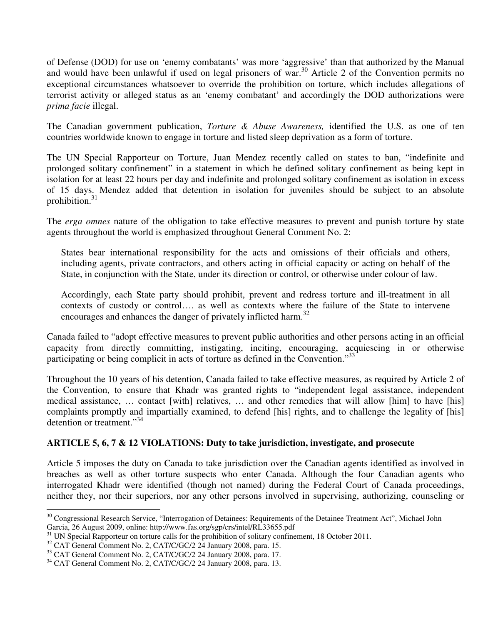of Defense (DOD) for use on 'enemy combatants' was more 'aggressive' than that authorized by the Manual and would have been unlawful if used on legal prisoners of war.<sup>30</sup> Article 2 of the Convention permits no exceptional circumstances whatsoever to override the prohibition on torture, which includes allegations of terrorist activity or alleged status as an 'enemy combatant' and accordingly the DOD authorizations were *prima facie* illegal.

The Canadian government publication, *Torture & Abuse Awareness,* identified the U.S. as one of ten countries worldwide known to engage in torture and listed sleep deprivation as a form of torture.

The UN Special Rapporteur on Torture, Juan Mendez recently called on states to ban, "indefinite and prolonged solitary confinement" in a statement in which he defined solitary confinement as being kept in isolation for at least 22 hours per day and indefinite and prolonged solitary confinement as isolation in excess of 15 days. Mendez added that detention in isolation for juveniles should be subject to an absolute prohibition.<sup>31</sup>

The *erga omnes* nature of the obligation to take effective measures to prevent and punish torture by state agents throughout the world is emphasized throughout General Comment No. 2:

States bear international responsibility for the acts and omissions of their officials and others, including agents, private contractors, and others acting in official capacity or acting on behalf of the State, in conjunction with the State, under its direction or control, or otherwise under colour of law.

Accordingly, each State party should prohibit, prevent and redress torture and ill-treatment in all contexts of custody or control…. as well as contexts where the failure of the State to intervene encourages and enhances the danger of privately inflicted harm.<sup>32</sup>

Canada failed to "adopt effective measures to prevent public authorities and other persons acting in an official capacity from directly committing, instigating, inciting, encouraging, acquiescing in or otherwise participating or being complicit in acts of torture as defined in the Convention."<sup>33</sup>

Throughout the 10 years of his detention, Canada failed to take effective measures, as required by Article 2 of the Convention, to ensure that Khadr was granted rights to "independent legal assistance, independent medical assistance, … contact [with] relatives, … and other remedies that will allow [him] to have [his] complaints promptly and impartially examined, to defend [his] rights, and to challenge the legality of [his] detention or treatment."<sup>34</sup>

## **ARTICLE 5, 6, 7 & 12 VIOLATIONS: Duty to take jurisdiction, investigate, and prosecute**

Article 5 imposes the duty on Canada to take jurisdiction over the Canadian agents identified as involved in breaches as well as other torture suspects who enter Canada. Although the four Canadian agents who interrogated Khadr were identified (though not named) during the Federal Court of Canada proceedings, neither they, nor their superiors, nor any other persons involved in supervising, authorizing, counseling or

 $\overline{a}$ <sup>30</sup> Congressional Research Service, "Interrogation of Detainees: Requirements of the Detainee Treatment Act", Michael John Garcia, 26 August 2009, online: http://www.fas.org/sgp/crs/intel/RL33655.pdf

 $31$  UN Special Rapporteur on torture calls for the prohibition of solitary confinement, 18 October 2011.

<sup>&</sup>lt;sup>32</sup> CAT General Comment No. 2, CAT/C/GC/2 24 January 2008, para. 15.

<sup>&</sup>lt;sup>33</sup> CAT General Comment No. 2, CAT/C/GC/2 24 January 2008, para. 17.

<sup>&</sup>lt;sup>34</sup> CAT General Comment No. 2, CAT/C/GC/2 24 January 2008, para. 13.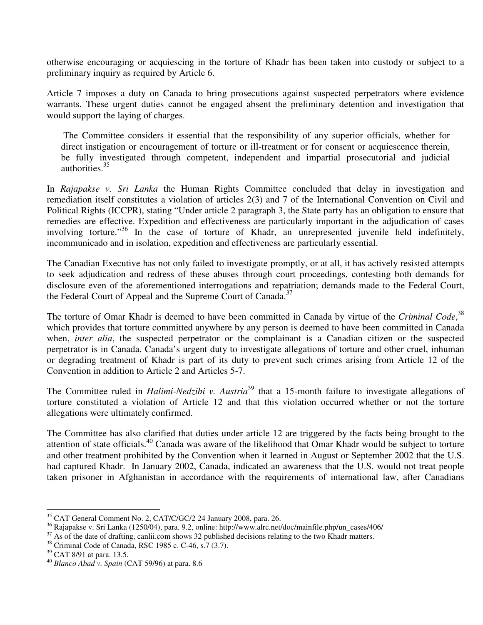otherwise encouraging or acquiescing in the torture of Khadr has been taken into custody or subject to a preliminary inquiry as required by Article 6.

Article 7 imposes a duty on Canada to bring prosecutions against suspected perpetrators where evidence warrants. These urgent duties cannot be engaged absent the preliminary detention and investigation that would support the laying of charges.

 The Committee considers it essential that the responsibility of any superior officials, whether for direct instigation or encouragement of torture or ill-treatment or for consent or acquiescence therein, be fully investigated through competent, independent and impartial prosecutorial and judicial authorities.<sup>35</sup>

In *Rajapakse v. Sri Lanka* the Human Rights Committee concluded that delay in investigation and remediation itself constitutes a violation of articles 2(3) and 7 of the International Convention on Civil and Political Rights (ICCPR), stating "Under article 2 paragraph 3, the State party has an obligation to ensure that remedies are effective. Expedition and effectiveness are particularly important in the adjudication of cases involving torture."<sup>36</sup> In the case of torture of Khadr, an unrepresented juvenile held indefinitely, incommunicado and in isolation, expedition and effectiveness are particularly essential.

The Canadian Executive has not only failed to investigate promptly, or at all, it has actively resisted attempts to seek adjudication and redress of these abuses through court proceedings, contesting both demands for disclosure even of the aforementioned interrogations and repatriation; demands made to the Federal Court, the Federal Court of Appeal and the Supreme Court of Canada.<sup>37</sup>

The torture of Omar Khadr is deemed to have been committed in Canada by virtue of the *Criminal Code*,<sup>38</sup> which provides that torture committed anywhere by any person is deemed to have been committed in Canada when, *inter alia*, the suspected perpetrator or the complainant is a Canadian citizen or the suspected perpetrator is in Canada. Canada's urgent duty to investigate allegations of torture and other cruel, inhuman or degrading treatment of Khadr is part of its duty to prevent such crimes arising from Article 12 of the Convention in addition to Article 2 and Articles 5-7.

The Committee ruled in *Halimi-Nedzibi v. Austria*<sup>39</sup> that a 15-month failure to investigate allegations of torture constituted a violation of Article 12 and that this violation occurred whether or not the torture allegations were ultimately confirmed.

The Committee has also clarified that duties under article 12 are triggered by the facts being brought to the attention of state officials.<sup>40</sup> Canada was aware of the likelihood that Omar Khadr would be subject to torture and other treatment prohibited by the Convention when it learned in August or September 2002 that the U.S. had captured Khadr. In January 2002, Canada, indicated an awareness that the U.S. would not treat people taken prisoner in Afghanistan in accordance with the requirements of international law, after Canadians

 $\overline{a}$ <sup>35</sup> CAT General Comment No. 2, CAT/C/GC/2 24 January 2008, para. 26.

<sup>36</sup> Rajapakse v. Sri Lanka (1250/04), para. 9.2, online: http://www.alrc.net/doc/mainfile.php/un\_cases/406/

<sup>&</sup>lt;sup>37</sup> As of the date of drafting, canlii.com shows 32 published decisions relating to the two Khadr matters.

<sup>38</sup> Criminal Code of Canada, RSC 1985 c. C-46, s.7 (3.7).

<sup>&</sup>lt;sup>39</sup> CAT 8/91 at para. 13.5.

<sup>40</sup> *Blanco Abad v. Spain* (CAT 59/96) at para. 8.6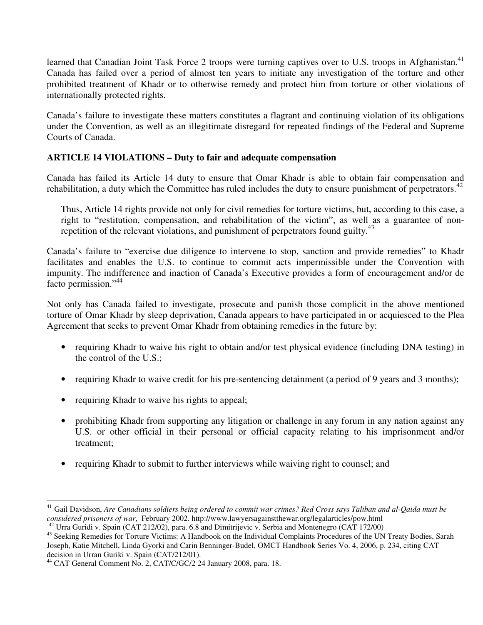learned that Canadian Joint Task Force 2 troops were turning captives over to U.S. troops in Afghanistan.<sup>41</sup> Canada has failed over a period of almost ten years to initiate any investigation of the torture and other prohibited treatment of Khadr or to otherwise remedy and protect him from torture or other violations of internationally protected rights.

Canada's failure to investigate these matters constitutes a flagrant and continuing violation of its obligations under the Convention, as well as an illegitimate disregard for repeated findings of the Federal and Supreme Courts of Canada.

# **ARTICLE 14 VIOLATIONS – Duty to fair and adequate compensation**

Canada has failed its Article 14 duty to ensure that Omar Khadr is able to obtain fair compensation and rehabilitation, a duty which the Committee has ruled includes the duty to ensure punishment of perpetrators.<sup>42</sup>

Thus, Article 14 rights provide not only for civil remedies for torture victims, but, according to this case, a right to "restitution, compensation, and rehabilitation of the victim", as well as a guarantee of nonrepetition of the relevant violations, and punishment of perpetrators found guilty.<sup>43</sup>

Canada's failure to "exercise due diligence to intervene to stop, sanction and provide remedies" to Khadr facilitates and enables the U.S. to continue to commit acts impermissible under the Convention with impunity. The indifference and inaction of Canada's Executive provides a form of encouragement and/or de facto permission."<sup>44</sup>

Not only has Canada failed to investigate, prosecute and punish those complicit in the above mentioned torture of Omar Khadr by sleep deprivation, Canada appears to have participated in or acquiesced to the Plea Agreement that seeks to prevent Omar Khadr from obtaining remedies in the future by:

- requiring Khadr to waive his right to obtain and/or test physical evidence (including DNA testing) in the control of the U.S.;
- requiring Khadr to waive credit for his pre-sentencing detainment (a period of 9 years and 3 months);
- requiring Khadr to waive his rights to appeal;
- prohibiting Khadr from supporting any litigation or challenge in any forum in any nation against any U.S. or other official in their personal or official capacity relating to his imprisonment and/or treatment;
- requiring Khadr to submit to further interviews while waiving right to counsel; and

l <sup>41</sup> Gail Davidson, *Are Canadians soldiers being ordered to commit war crimes? Red Cross says Taliban and al-Qaida must be considered prisoners of war*, February 2002. http://www.lawyersagainstthewar.org/legalarticles/pow.html

<sup>42</sup> Urra Guridi v. Spain (CAT 212/02), para. 6.8 and Dimitrijevic v. Serbia and Montenegro (CAT 172/00)

<sup>&</sup>lt;sup>43</sup> Seeking Remedies for Torture Victims: A Handbook on the Individual Complaints Procedures of the UN Treaty Bodies, Sarah Joseph, Katie Mitchell, Linda Gyorki and Carin Benninger-Budel, OMCT Handbook Series Vo. 4, 2006, p. 234, citing CAT decision in Urran Guriki v. Spain (CAT/212/01).

<sup>&</sup>lt;sup>44</sup> CAT General Comment No. 2, CAT/C/GC/2 24 January 2008, para. 18.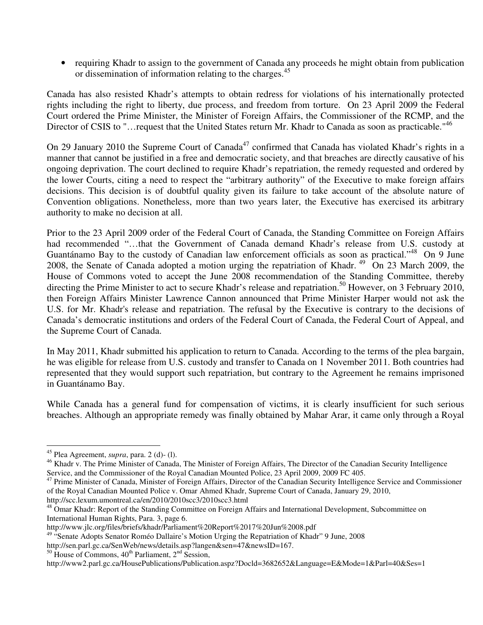• requiring Khadr to assign to the government of Canada any proceeds he might obtain from publication or dissemination of information relating to the charges.<sup>45</sup>

Canada has also resisted Khadr's attempts to obtain redress for violations of his internationally protected rights including the right to liberty, due process, and freedom from torture. On 23 April 2009 the Federal Court ordered the Prime Minister, the Minister of Foreign Affairs, the Commissioner of the RCMP, and the Director of CSIS to "...request that the United States return Mr. Khadr to Canada as soon as practicable."<sup>46</sup>

On 29 January 2010 the Supreme Court of Canada<sup>47</sup> confirmed that Canada has violated Khadr's rights in a manner that cannot be justified in a free and democratic society, and that breaches are directly causative of his ongoing deprivation. The court declined to require Khadr's repatriation, the remedy requested and ordered by the lower Courts, citing a need to respect the "arbitrary authority" of the Executive to make foreign affairs decisions. This decision is of doubtful quality given its failure to take account of the absolute nature of Convention obligations. Nonetheless, more than two years later, the Executive has exercised its arbitrary authority to make no decision at all.

Prior to the 23 April 2009 order of the Federal Court of Canada, the Standing Committee on Foreign Affairs had recommended "...that the Government of Canada demand Khadr's release from U.S. custody at Guantánamo Bay to the custody of Canadian law enforcement officials as soon as practical."<sup>48</sup> On 9 June 2008, the Senate of Canada adopted a motion urging the repatriation of Khadr.<sup>49</sup> On 23 March 2009, the House of Commons voted to accept the June 2008 recommendation of the Standing Committee, thereby directing the Prime Minister to act to secure Khadr's release and repatriation.<sup>50</sup> However, on 3 February 2010, then Foreign Affairs Minister Lawrence Cannon announced that Prime Minister Harper would not ask the U.S. for Mr. Khadr's release and repatriation. The refusal by the Executive is contrary to the decisions of Canada's democratic institutions and orders of the Federal Court of Canada, the Federal Court of Appeal, and the Supreme Court of Canada.

In May 2011, Khadr submitted his application to return to Canada. According to the terms of the plea bargain, he was eligible for release from U.S. custody and transfer to Canada on 1 November 2011. Both countries had represented that they would support such repatriation, but contrary to the Agreement he remains imprisoned in Guantánamo Bay.

While Canada has a general fund for compensation of victims, it is clearly insufficient for such serious breaches. Although an appropriate remedy was finally obtained by Mahar Arar, it came only through a Royal

l

<sup>45</sup> Plea Agreement, *supra*, para. 2 (d)- (l).

<sup>&</sup>lt;sup>46</sup> Khadr v. The Prime Minister of Canada, The Minister of Foreign Affairs, The Director of the Canadian Security Intelligence Service, and the Commissioner of the Royal Canadian Mounted Police, 23 April 2009, 2009 FC 405.

<sup>&</sup>lt;sup>47</sup> Prime Minister of Canada, Minister of Foreign Affairs, Director of the Canadian Security Intelligence Service and Commissioner of the Royal Canadian Mounted Police v. Omar Ahmed Khadr, Supreme Court of Canada, January 29, 2010, http://scc.lexum.umontreal.ca/en/2010/2010scc3/2010scc3.html

<sup>&</sup>lt;sup>48</sup> Omar Khadr: Report of the Standing Committee on Foreign Affairs and International Development, Subcommittee on International Human Rights, Para. 3, page 6.

http://www.jlc.org/files/briefs/khadr/Parliament%20Report%2017%20Jun%2008.pdf

<sup>&</sup>lt;sup>49</sup> "Senate Adopts Senator Roméo Dallaire's Motion Urging the Repatriation of Khadr" 9 June, 2008

http://sen.parl.gc.ca/SenWeb/news/details.asp?langen&sen=47&newsID=167.

 $50$  House of Commons,  $40<sup>th</sup>$  Parliament,  $2<sup>nd</sup>$  Session,

http://www2.parl.gc.ca/HousePublications/Publication.aspz?Docld=3682652&Language=E&Mode=1&Parl=40&Ses=1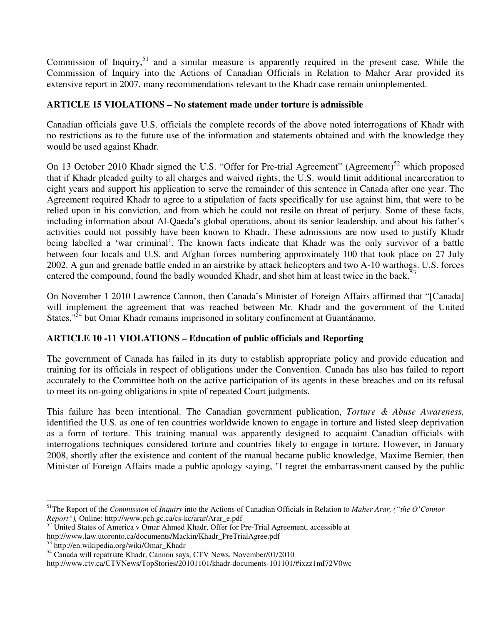Commission of Inquiry,<sup>51</sup> and a similar measure is apparently required in the present case. While the Commission of Inquiry into the Actions of Canadian Officials in Relation to Maher Arar provided its extensive report in 2007, many recommendations relevant to the Khadr case remain unimplemented.

# **ARTICLE 15 VIOLATIONS – No statement made under torture is admissible**

Canadian officials gave U.S. officials the complete records of the above noted interrogations of Khadr with no restrictions as to the future use of the information and statements obtained and with the knowledge they would be used against Khadr.

On 13 October 2010 Khadr signed the U.S. "Offer for Pre-trial Agreement" (Agreement)<sup>52</sup> which proposed that if Khadr pleaded guilty to all charges and waived rights, the U.S. would limit additional incarceration to eight years and support his application to serve the remainder of this sentence in Canada after one year. The Agreement required Khadr to agree to a stipulation of facts specifically for use against him, that were to be relied upon in his conviction, and from which he could not resile on threat of perjury. Some of these facts, including information about Al-Qaeda's global operations, about its senior leadership, and about his father's activities could not possibly have been known to Khadr. These admissions are now used to justify Khadr being labelled a 'war criminal'. The known facts indicate that Khadr was the only survivor of a battle between four locals and U.S. and Afghan forces numbering approximately 100 that took place on 27 July 2002. A gun and grenade battle ended in an airstrike by attack helicopters and two A-10 warthogs. U.S. forces entered the compound, found the badly wounded Khadr, and shot him at least twice in the back.<sup>53</sup>

On November 1 2010 Lawrence Cannon, then Canada's Minister of Foreign Affairs affirmed that "[Canada] will implement the agreement that was reached between Mr. Khadr and the government of the United States,<sup>"54</sup> but Omar Khadr remains imprisoned in solitary confinement at Guantánamo.

# **ARTICLE 10 -11 VIOLATIONS – Education of public officials and Reporting**

The government of Canada has failed in its duty to establish appropriate policy and provide education and training for its officials in respect of obligations under the Convention. Canada has also has failed to report accurately to the Committee both on the active participation of its agents in these breaches and on its refusal to meet its on-going obligations in spite of repeated Court judgments.

This failure has been intentional. The Canadian government publication, *Torture & Abuse Awareness,* identified the U.S. as one of ten countries worldwide known to engage in torture and listed sleep deprivation as a form of torture. This training manual was apparently designed to acquaint Canadian officials with interrogations techniques considered torture and countries likely to engage in torture. However, in January 2008, shortly after the existence and content of the manual became public knowledge, Maxime Bernier, then Minister of Foreign Affairs made a public apology saying, "I regret the embarrassment caused by the public

l <sup>51</sup>The Report of the *Commission* of *Inquiry* into the Actions of Canadian Officials in Relation to *Maher Arar, ("the O'Connor Report"),* Online: http://www.pch.gc.ca/cs-kc/arar/Arar\_e.pdf

 $52$  United States of America v Omar Ahmed Khadr, Offer for Pre-Trial Agreement, accessible at

http://www.law.utoronto.ca/documents/Mackin/Khadr\_PreTrialAgree.pdf

<sup>53</sup> http://en.wikipedia.org/wiki/Omar\_Khadr

<sup>&</sup>lt;sup>54</sup> Canada will repatriate Khadr, Cannon says, CTV News, November/01/2010

http://www.ctv.ca/CTVNews/TopStories/20101101/khadr-documents-101101/#ixzz1mI72V0wc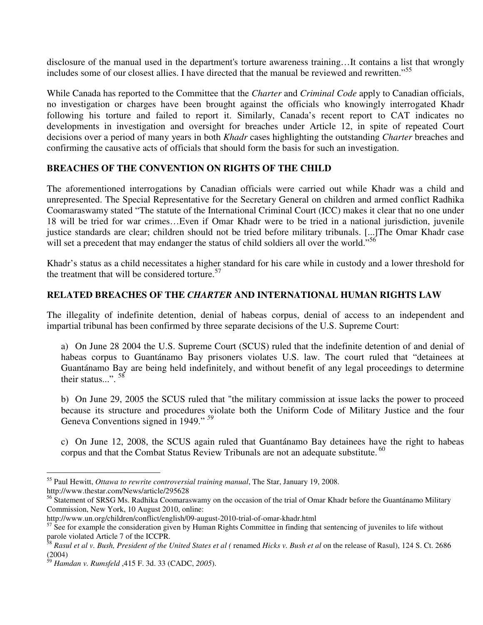disclosure of the manual used in the department's torture awareness training…It contains a list that wrongly includes some of our closest allies. I have directed that the manual be reviewed and rewritten."<sup>55</sup>

While Canada has reported to the Committee that the *Charter* and *Criminal Code* apply to Canadian officials, no investigation or charges have been brought against the officials who knowingly interrogated Khadr following his torture and failed to report it. Similarly, Canada's recent report to CAT indicates no developments in investigation and oversight for breaches under Article 12, in spite of repeated Court decisions over a period of many years in both *Khadr* cases highlighting the outstanding *Charter* breaches and confirming the causative acts of officials that should form the basis for such an investigation.

## **BREACHES OF THE CONVENTION ON RIGHTS OF THE CHILD**

The aforementioned interrogations by Canadian officials were carried out while Khadr was a child and unrepresented. The Special Representative for the Secretary General on children and armed conflict Radhika Coomaraswamy stated "The statute of the International Criminal Court (ICC) makes it clear that no one under 18 will be tried for war crimes…Even if Omar Khadr were to be tried in a national jurisdiction, juvenile justice standards are clear; children should not be tried before military tribunals. [...]The Omar Khadr case will set a precedent that may endanger the status of child soldiers all over the world."<sup>56</sup>

Khadr's status as a child necessitates a higher standard for his care while in custody and a lower threshold for the treatment that will be considered torture. $57$ 

# **RELATED BREACHES OF THE** *CHARTER* **AND INTERNATIONAL HUMAN RIGHTS LAW**

The illegality of indefinite detention, denial of habeas corpus, denial of access to an independent and impartial tribunal has been confirmed by three separate decisions of the U.S. Supreme Court:

a) On June 28 2004 the U.S. Supreme Court (SCUS) ruled that the indefinite detention of and denial of habeas corpus to Guantánamo Bay prisoners violates U.S. law. The court ruled that "detainees at Guantánamo Bay are being held indefinitely, and without benefit of any legal proceedings to determine their status...".  $^{58}$ 

b) On June 29, 2005 the SCUS ruled that "the military commission at issue lacks the power to proceed because its structure and procedures violate both the Uniform Code of Military Justice and the four Geneva Conventions signed in 1949." *<sup>59</sup>*

c) On June 12, 2008, the SCUS again ruled that Guantánamo Bay detainees have the right to habeas corpus and that the Combat Status Review Tribunals are not an adequate substitute.  $^{60}$ 

 $\overline{a}$ 

<sup>55</sup> Paul Hewitt, *Ottawa to rewrite controversial training manual*, The Star, January 19, 2008. http://www.thestar.com/News/article/295628

<sup>&</sup>lt;sup>56</sup> Statement of SRSG Ms. Radhika Coomaraswamy on the occasion of the trial of Omar Khadr before the Guantánamo Military Commission, New York, 10 August 2010, online:

http://www.un.org/children/conflict/english/09-august-2010-trial-of-omar-khadr.html

 $57$  See for example the consideration given by Human Rights Committee in finding that sentencing of juveniles to life without parole violated Article 7 of the ICCPR.

<sup>58</sup> *Rasul et al v. Bush, President of the United States et al (* renamed *Hicks v. Bush et al* on the release of Rasul), 124 S. Ct. 2686 (2004)

<sup>59</sup> *Hamdan v. Rumsfeld* ,415 F. 3d. 33 (CADC, *2005*).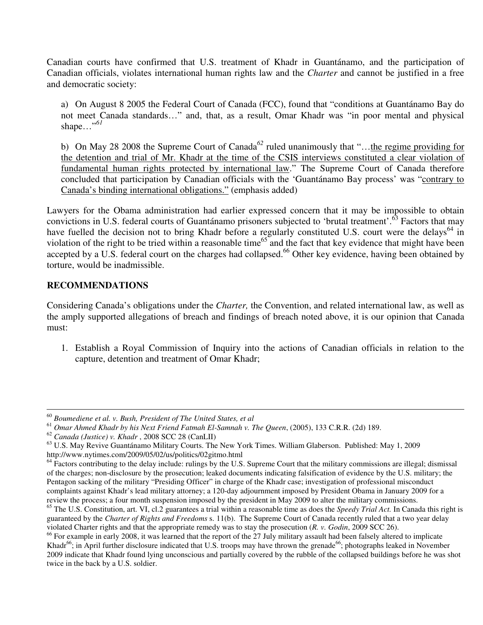Canadian courts have confirmed that U.S. treatment of Khadr in Guantánamo, and the participation of Canadian officials, violates international human rights law and the *Charter* and cannot be justified in a free and democratic society:

a) On August 8 2005 the Federal Court of Canada (FCC), found that "conditions at Guantánamo Bay do not meet Canada standards…" and, that, as a result, Omar Khadr was "in poor mental and physical shape…"*<sup>61</sup>*

b) On May 28 2008 the Supreme Court of Canada<sup>62</sup> ruled unanimously that "...the regime providing for the detention and trial of Mr. Khadr at the time of the CSIS interviews constituted a clear violation of fundamental human rights protected by international law." The Supreme Court of Canada therefore concluded that participation by Canadian officials with the 'Guantánamo Bay process' was "contrary to Canada's binding international obligations." (emphasis added)

Lawyers for the Obama administration had earlier expressed concern that it may be impossible to obtain convictions in U.S. federal courts of Guantánamo prisoners subjected to 'brutal treatment'.<sup>63</sup> Factors that may have fuelled the decision not to bring Khadr before a regularly constituted U.S. court were the delays<sup>64</sup> in violation of the right to be tried within a reasonable time<sup>65</sup> and the fact that key evidence that might have been accepted by a U.S. federal court on the charges had collapsed.<sup>66</sup> Other key evidence, having been obtained by torture, would be inadmissible.

#### **RECOMMENDATIONS**

Considering Canada's obligations under the *Charter,* the Convention, and related international law, as well as the amply supported allegations of breach and findings of breach noted above, it is our opinion that Canada must:

1. Establish a Royal Commission of Inquiry into the actions of Canadian officials in relation to the capture, detention and treatment of Omar Khadr;

 $\overline{a}$ <sup>60</sup> *Boumediene et al. v. Bush, President of The United States, et al*

<sup>61</sup> *Omar Ahmed Khadr by his Next Friend Fatmah El-Samnah v. The Queen*, (2005), 133 C.R.R. (2d) 189.

<sup>62</sup> *Canada (Justice) v. Khadr* , 2008 SCC 28 (CanLII)

 $63$  U.S. May Revive Guantánamo Military Courts. The New York Times. William Glaberson. Published: May 1, 2009 http://www.nytimes.com/2009/05/02/us/politics/02gitmo.html

 $<sup>64</sup>$  Factors contributing to the delay include: rulings by the U.S. Supreme Court that the military commissions are illegal; dismissal</sup> of the charges; non-disclosure by the prosecution; leaked documents indicating falsification of evidence by the U.S. military; the Pentagon sacking of the military "Presiding Officer" in charge of the Khadr case; investigation of professional misconduct complaints against Khadr's lead military attorney; a 120-day adjournment imposed by President Obama in January 2009 for a review the process; a four month suspension imposed by the president in May 2009 to alter the military commissions.

<sup>65</sup> The U.S. Constitution, art. VI, cl.2 guarantees a trial within a reasonable time as does the *Speedy Trial Act.* In Canada this right is guaranteed by the *Charter of Rights and Freedoms* s. 11(b). The Supreme Court of Canada recently ruled that a two year delay violated Charter rights and that the appropriate remedy was to stay the prosecution (*R. v. Godin*, 2009 SCC 26).

<sup>&</sup>lt;sup>66</sup> For example in early 2008, it was learned that the report of the 27 July military assault had been falsely altered to implicate Khadr<sup>66</sup>; in April further disclosure indicated that U.S. troops may have thrown the grenade<sup>66</sup>; photographs leaked in November 2009 indicate that Khadr found lying unconscious and partially covered by the rubble of the collapsed buildings before he was shot twice in the back by a U.S. soldier.